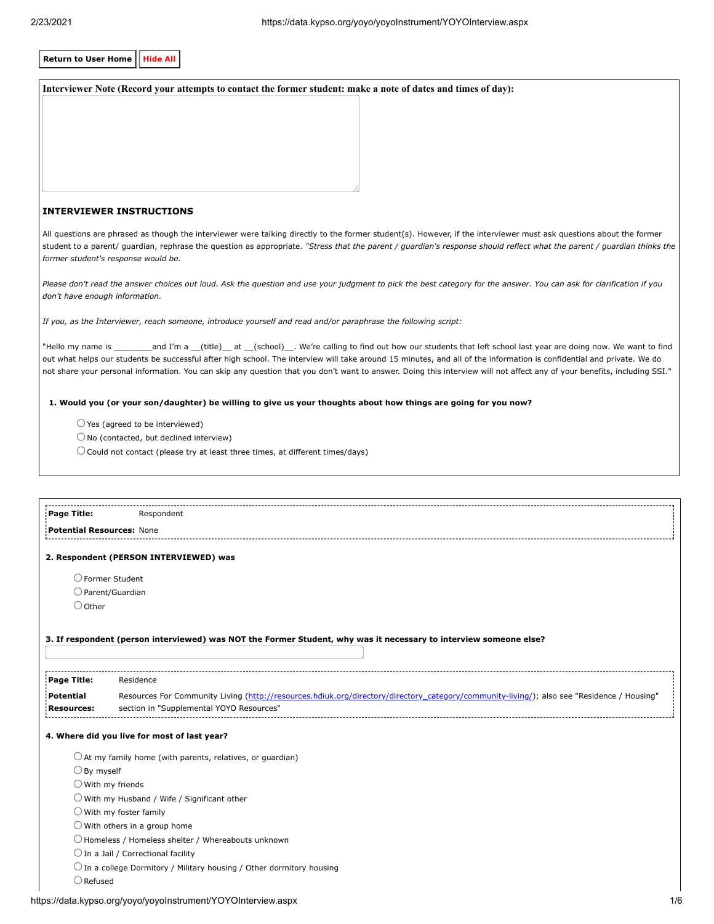| <b>Return to User Home</b><br><b>Hide All</b> |                                                                                                                                                                                                                                                                                                                                                                                                                                                                                                                             |  |  |  |
|-----------------------------------------------|-----------------------------------------------------------------------------------------------------------------------------------------------------------------------------------------------------------------------------------------------------------------------------------------------------------------------------------------------------------------------------------------------------------------------------------------------------------------------------------------------------------------------------|--|--|--|
|                                               | Interviewer Note (Record your attempts to contact the former student: make a note of dates and times of day):                                                                                                                                                                                                                                                                                                                                                                                                               |  |  |  |
|                                               |                                                                                                                                                                                                                                                                                                                                                                                                                                                                                                                             |  |  |  |
|                                               |                                                                                                                                                                                                                                                                                                                                                                                                                                                                                                                             |  |  |  |
|                                               |                                                                                                                                                                                                                                                                                                                                                                                                                                                                                                                             |  |  |  |
|                                               |                                                                                                                                                                                                                                                                                                                                                                                                                                                                                                                             |  |  |  |
|                                               |                                                                                                                                                                                                                                                                                                                                                                                                                                                                                                                             |  |  |  |
|                                               |                                                                                                                                                                                                                                                                                                                                                                                                                                                                                                                             |  |  |  |
|                                               | <b>INTERVIEWER INSTRUCTIONS</b>                                                                                                                                                                                                                                                                                                                                                                                                                                                                                             |  |  |  |
|                                               |                                                                                                                                                                                                                                                                                                                                                                                                                                                                                                                             |  |  |  |
|                                               | All questions are phrased as though the interviewer were talking directly to the former student(s). However, if the interviewer must ask questions about the former<br>student to a parent/ guardian, rephrase the question as appropriate. "Stress that the parent / guardian's response should reflect what the parent / guardian thinks the<br>former student's response would be.                                                                                                                                       |  |  |  |
| don't have enough information.                | Please don't read the answer choices out loud. Ask the question and use your judgment to pick the best category for the answer. You can ask for clarification if you                                                                                                                                                                                                                                                                                                                                                        |  |  |  |
|                                               | If you, as the Interviewer, reach someone, introduce yourself and read and/or paraphrase the following script:                                                                                                                                                                                                                                                                                                                                                                                                              |  |  |  |
|                                               | "Hello my name is _________and I'm a __(title)__ at __(school)__. We're calling to find out how our students that left school last year are doing now. We want to find<br>out what helps our students be successful after high school. The interview will take around 15 minutes, and all of the information is confidential and private. We do<br>not share your personal information. You can skip any question that you don't want to answer. Doing this interview will not affect any of your benefits, including SSI." |  |  |  |
|                                               | 1. Would you (or your son/daughter) be willing to give us your thoughts about how things are going for you now?                                                                                                                                                                                                                                                                                                                                                                                                             |  |  |  |
|                                               | $\bigcirc$ Yes (agreed to be interviewed)                                                                                                                                                                                                                                                                                                                                                                                                                                                                                   |  |  |  |
|                                               | $\bigcirc$ No (contacted, but declined interview)                                                                                                                                                                                                                                                                                                                                                                                                                                                                           |  |  |  |
|                                               | $\bigcirc$ Could not contact (please try at least three times, at different times/days)                                                                                                                                                                                                                                                                                                                                                                                                                                     |  |  |  |
|                                               |                                                                                                                                                                                                                                                                                                                                                                                                                                                                                                                             |  |  |  |
|                                               |                                                                                                                                                                                                                                                                                                                                                                                                                                                                                                                             |  |  |  |
| Page Title:                                   | Respondent                                                                                                                                                                                                                                                                                                                                                                                                                                                                                                                  |  |  |  |
| <b>Potential Resources: None</b>              |                                                                                                                                                                                                                                                                                                                                                                                                                                                                                                                             |  |  |  |
|                                               |                                                                                                                                                                                                                                                                                                                                                                                                                                                                                                                             |  |  |  |
|                                               | 2. Respondent (PERSON INTERVIEWED) was                                                                                                                                                                                                                                                                                                                                                                                                                                                                                      |  |  |  |
|                                               |                                                                                                                                                                                                                                                                                                                                                                                                                                                                                                                             |  |  |  |
|                                               | $\bigcirc$ Former Student                                                                                                                                                                                                                                                                                                                                                                                                                                                                                                   |  |  |  |
| $\bigcirc$ Other                              | $\bigcirc$ Parent/Guardian                                                                                                                                                                                                                                                                                                                                                                                                                                                                                                  |  |  |  |
|                                               |                                                                                                                                                                                                                                                                                                                                                                                                                                                                                                                             |  |  |  |
|                                               | 3. If respondent (person interviewed) was NOT the Former Student, why was it necessary to interview someone else?                                                                                                                                                                                                                                                                                                                                                                                                           |  |  |  |
| Page Title:                                   | Residence                                                                                                                                                                                                                                                                                                                                                                                                                                                                                                                   |  |  |  |
| <b>Potential</b>                              | Resources For Community Living (http://resources.hdiuk.org/directory/directory_category/community-living/); also see "Residence / Housing"                                                                                                                                                                                                                                                                                                                                                                                  |  |  |  |
| <b>Resources:</b>                             | section in "Supplemental YOYO Resources"                                                                                                                                                                                                                                                                                                                                                                                                                                                                                    |  |  |  |
|                                               | 4. Where did you live for most of last year?                                                                                                                                                                                                                                                                                                                                                                                                                                                                                |  |  |  |
| $\bigcirc$ By myself                          | $\bigcirc$ At my family home (with parents, relatives, or guardian)                                                                                                                                                                                                                                                                                                                                                                                                                                                         |  |  |  |
| $\bigcirc$ With my friends                    |                                                                                                                                                                                                                                                                                                                                                                                                                                                                                                                             |  |  |  |
|                                               | $\bigcirc$ With my Husband / Wife / Significant other                                                                                                                                                                                                                                                                                                                                                                                                                                                                       |  |  |  |
|                                               | $\bigcirc$ With my foster family                                                                                                                                                                                                                                                                                                                                                                                                                                                                                            |  |  |  |
|                                               | $\bigcirc$ With others in a group home                                                                                                                                                                                                                                                                                                                                                                                                                                                                                      |  |  |  |
|                                               | $\bigcirc$ Homeless / Homeless shelter / Whereabouts unknown                                                                                                                                                                                                                                                                                                                                                                                                                                                                |  |  |  |
|                                               | $\bigcirc$ In a Jail / Correctional facility                                                                                                                                                                                                                                                                                                                                                                                                                                                                                |  |  |  |
|                                               | $\bigcirc$ In a college Dormitory / Military housing / Other dormitory housing                                                                                                                                                                                                                                                                                                                                                                                                                                              |  |  |  |
| $\bigcirc$ Refused                            |                                                                                                                                                                                                                                                                                                                                                                                                                                                                                                                             |  |  |  |
|                                               |                                                                                                                                                                                                                                                                                                                                                                                                                                                                                                                             |  |  |  |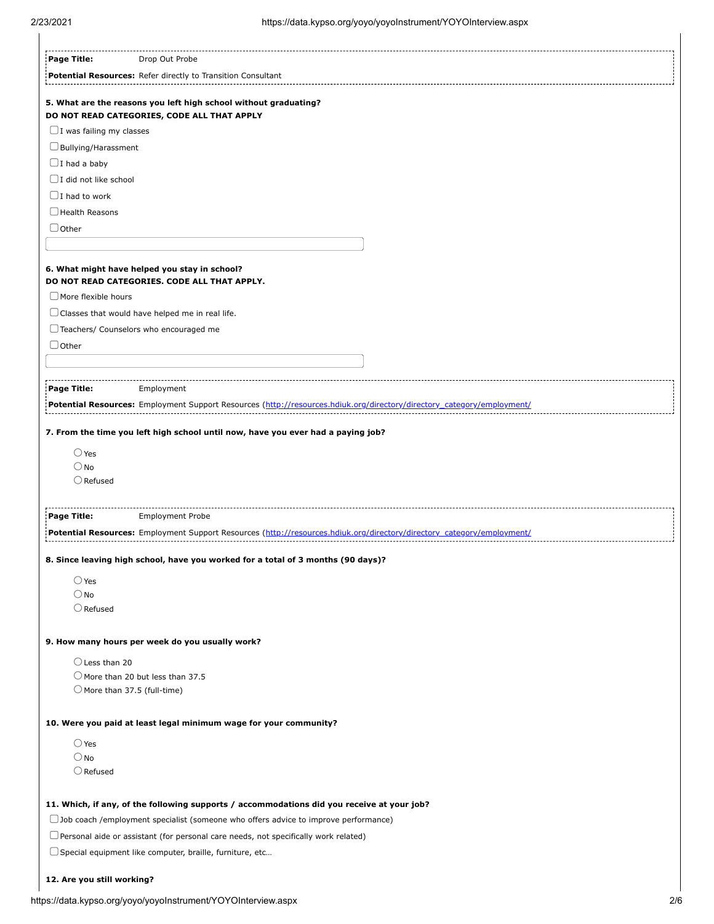| Page Title:                                                                                | Drop Out Probe                                                                                                         |  |  |
|--------------------------------------------------------------------------------------------|------------------------------------------------------------------------------------------------------------------------|--|--|
|                                                                                            | Potential Resources: Refer directly to Transition Consultant                                                           |  |  |
|                                                                                            | 5. What are the reasons you left high school without graduating?                                                       |  |  |
| $\Box$ I was failing my classes                                                            | DO NOT READ CATEGORIES, CODE ALL THAT APPLY                                                                            |  |  |
|                                                                                            | $\Box$ Bullying/Harassment                                                                                             |  |  |
| $\Box$ I had a baby                                                                        |                                                                                                                        |  |  |
| $\Box$ I did not like school                                                               |                                                                                                                        |  |  |
| $\Box$ I had to work                                                                       |                                                                                                                        |  |  |
| $\Box$ Health Reasons                                                                      |                                                                                                                        |  |  |
| $\bigcup$ Other                                                                            |                                                                                                                        |  |  |
|                                                                                            |                                                                                                                        |  |  |
|                                                                                            | 6. What might have helped you stay in school?<br>DO NOT READ CATEGORIES. CODE ALL THAT APPLY.                          |  |  |
| $\Box$ More flexible hours                                                                 |                                                                                                                        |  |  |
|                                                                                            | $\Box$ Classes that would have helped me in real life.                                                                 |  |  |
|                                                                                            | Teachers/ Counselors who encouraged me                                                                                 |  |  |
| $\Box$ Other                                                                               |                                                                                                                        |  |  |
|                                                                                            |                                                                                                                        |  |  |
| Page Title:                                                                                | Employment                                                                                                             |  |  |
|                                                                                            | Potential Resources: Employment Support Resources (http://resources.hdiuk.org/directory/directory category/employment/ |  |  |
|                                                                                            |                                                                                                                        |  |  |
|                                                                                            | 7. From the time you left high school until now, have you ever had a paying job?                                       |  |  |
| $\bigcirc$ Yes                                                                             |                                                                                                                        |  |  |
| $\bigcirc$ No                                                                              |                                                                                                                        |  |  |
| $\bigcirc$ Refused                                                                         |                                                                                                                        |  |  |
| Page Title:                                                                                | <b>Employment Probe</b>                                                                                                |  |  |
|                                                                                            | Potential Resources: Employment Support Resources (http://resources.hdiuk.org/directory/directory_category/employment/ |  |  |
|                                                                                            | 8. Since leaving high school, have you worked for a total of 3 months (90 days)?                                       |  |  |
| $\bigcirc$ Yes                                                                             |                                                                                                                        |  |  |
| $\bigcirc$ No                                                                              |                                                                                                                        |  |  |
| $\bigcirc$ Refused                                                                         |                                                                                                                        |  |  |
|                                                                                            | 9. How many hours per week do you usually work?                                                                        |  |  |
| $\bigcirc$ Less than 20                                                                    |                                                                                                                        |  |  |
|                                                                                            | O More than 20 but less than 37.5                                                                                      |  |  |
|                                                                                            | $\bigcirc$ More than 37.5 (full-time)                                                                                  |  |  |
|                                                                                            | 10. Were you paid at least legal minimum wage for your community?                                                      |  |  |
| $\bigcirc$ Yes                                                                             |                                                                                                                        |  |  |
| $\bigcirc$ No                                                                              |                                                                                                                        |  |  |
| $\bigcirc$ Refused                                                                         |                                                                                                                        |  |  |
|                                                                                            | 11. Which, if any, of the following supports / accommodations did you receive at your job?                             |  |  |
|                                                                                            | $\Box$ Job coach /employment specialist (someone who offers advice to improve performance)                             |  |  |
| $\Box$ Personal aide or assistant (for personal care needs, not specifically work related) |                                                                                                                        |  |  |
|                                                                                            | □ Special equipment like computer, braille, furniture, etc                                                             |  |  |
| 12. Are you still working?                                                                 |                                                                                                                        |  |  |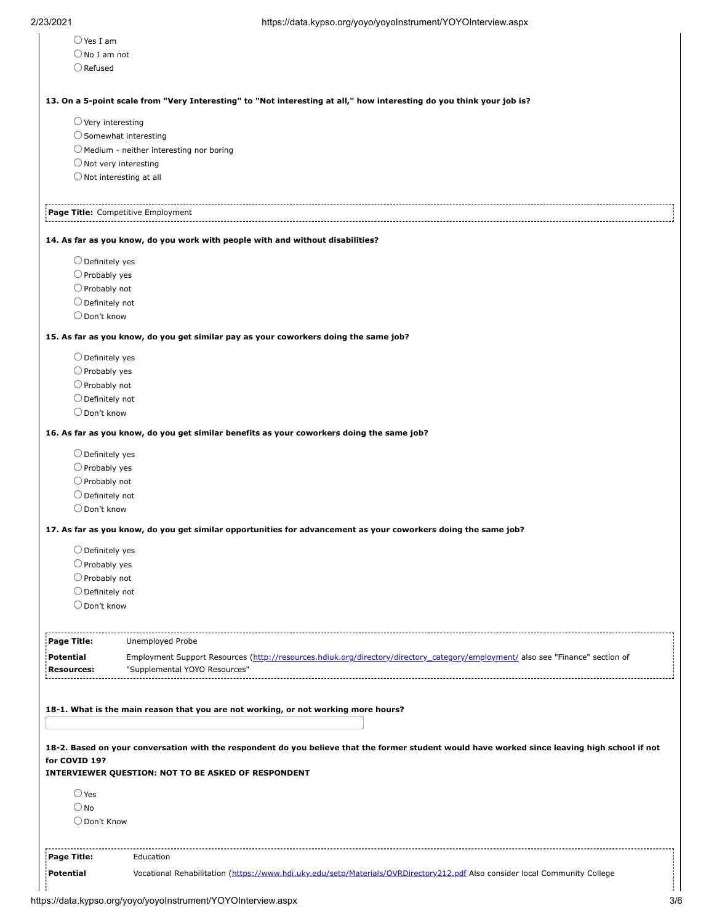| $\bigcirc$ Yes I am                              |                                                                                                                                                |  |  |
|--------------------------------------------------|------------------------------------------------------------------------------------------------------------------------------------------------|--|--|
| $\bigcirc$ No I am not                           |                                                                                                                                                |  |  |
| $\bigcirc$ Refused                               |                                                                                                                                                |  |  |
|                                                  |                                                                                                                                                |  |  |
|                                                  | 13. On a 5-point scale from "Very Interesting" to "Not interesting at all," how interesting do you think your job is?                          |  |  |
| $\bigcirc$ Very interesting                      |                                                                                                                                                |  |  |
| $\bigcirc$ Somewhat interesting                  |                                                                                                                                                |  |  |
|                                                  | $\bigcirc$ Medium - neither interesting nor boring                                                                                             |  |  |
|                                                  |                                                                                                                                                |  |  |
|                                                  | $\bigcirc$ Not very interesting                                                                                                                |  |  |
|                                                  | $\bigcirc$ Not interesting at all                                                                                                              |  |  |
|                                                  | Page Title: Competitive Employment                                                                                                             |  |  |
|                                                  | 14. As far as you know, do you work with people with and without disabilities?                                                                 |  |  |
| $\bigcirc$ Definitely yes                        |                                                                                                                                                |  |  |
| $\bigcirc$ Probably yes                          |                                                                                                                                                |  |  |
| $\bigcirc$ Probably not                          |                                                                                                                                                |  |  |
| $\bigcirc$ Definitely not                        |                                                                                                                                                |  |  |
| $\bigcirc$ Don't know                            |                                                                                                                                                |  |  |
|                                                  | 15. As far as you know, do you get similar pay as your coworkers doing the same job?                                                           |  |  |
| $\bigcirc$ Definitely yes                        |                                                                                                                                                |  |  |
| $\bigcirc$ Probably yes                          |                                                                                                                                                |  |  |
|                                                  |                                                                                                                                                |  |  |
| $\bigcirc$ Probably not                          |                                                                                                                                                |  |  |
| $\bigcirc$ Definitely not                        |                                                                                                                                                |  |  |
| O Don't know                                     |                                                                                                                                                |  |  |
|                                                  | 16. As far as you know, do you get similar benefits as your coworkers doing the same job?                                                      |  |  |
| $\bigcirc$ Definitely yes                        |                                                                                                                                                |  |  |
| $\bigcirc$ Probably yes                          |                                                                                                                                                |  |  |
| $\bigcirc$ Probably not                          |                                                                                                                                                |  |  |
| $\bigcirc$ Definitely not                        |                                                                                                                                                |  |  |
| $\bigcirc$ Don't know                            |                                                                                                                                                |  |  |
|                                                  | 17. As far as you know, do you get similar opportunities for advancement as your coworkers doing the same job?                                 |  |  |
|                                                  |                                                                                                                                                |  |  |
| $\bigcirc$ Definitely yes                        |                                                                                                                                                |  |  |
| $\bigcirc$ Probably yes                          |                                                                                                                                                |  |  |
| $\bigcirc$ Probably not                          |                                                                                                                                                |  |  |
| $\bigcirc$ Definitely not                        |                                                                                                                                                |  |  |
| $\bigcirc$ Don't know                            |                                                                                                                                                |  |  |
| Page Title:                                      | Unemployed Probe                                                                                                                               |  |  |
|                                                  | Employment Support Resources (http://resources.hdiuk.org/directory/directory_category/employment/ also see "Finance" section of                |  |  |
|                                                  | "Supplemental YOYO Resources"                                                                                                                  |  |  |
|                                                  |                                                                                                                                                |  |  |
|                                                  |                                                                                                                                                |  |  |
|                                                  | 18-1. What is the main reason that you are not working, or not working more hours?                                                             |  |  |
| Potential<br><b>Resources:</b>                   | 18-2. Based on your conversation with the respondent do you believe that the former student would have worked since leaving high school if not |  |  |
|                                                  |                                                                                                                                                |  |  |
|                                                  | <b>INTERVIEWER QUESTION: NOT TO BE ASKED OF RESPONDENT</b>                                                                                     |  |  |
| $\bigcirc$ Yes                                   |                                                                                                                                                |  |  |
| $\bigcirc$ No                                    |                                                                                                                                                |  |  |
| O Don't Know                                     |                                                                                                                                                |  |  |
|                                                  |                                                                                                                                                |  |  |
|                                                  |                                                                                                                                                |  |  |
| for COVID 19?<br>Page Title:<br><b>Potential</b> | Education<br>Vocational Rehabilitation (https://www.hdi.uky.edu/setp/Materials/OVRDirectory212.pdf Also consider local Community College       |  |  |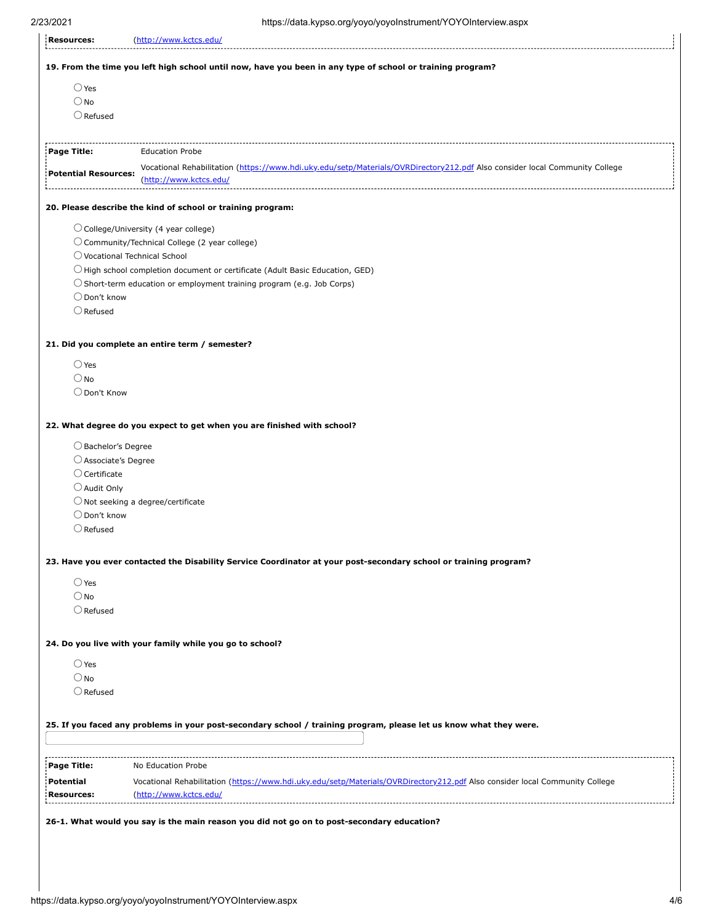|                                                                                | (http://www.kctcs.edu/                                                                                                                                |
|--------------------------------------------------------------------------------|-------------------------------------------------------------------------------------------------------------------------------------------------------|
|                                                                                | 19. From the time you left high school until now, have you been in any type of school or training program?                                            |
| $\bigcirc$ Yes                                                                 |                                                                                                                                                       |
| $\bigcirc$ No                                                                  |                                                                                                                                                       |
| $\bigcirc$ Refused                                                             |                                                                                                                                                       |
| Page Title:                                                                    | <b>Education Probe</b>                                                                                                                                |
| <b>Potential Resources:</b>                                                    | Vocational Rehabilitation (https://www.hdi.uky.edu/setp/Materials/OVRDirectory212.pdf Also consider local Community College                           |
|                                                                                | (http://www.kctcs.edu/                                                                                                                                |
|                                                                                | 20. Please describe the kind of school or training program:                                                                                           |
|                                                                                | $\bigcirc$ College/University (4 year college)                                                                                                        |
|                                                                                | O Community/Technical College (2 year college)                                                                                                        |
| ○ Vocational Technical School                                                  |                                                                                                                                                       |
|                                                                                | $\bigcirc$ High school completion document or certificate (Adult Basic Education, GED)                                                                |
|                                                                                | $\bigcirc$ Short-term education or employment training program (e.g. Job Corps)                                                                       |
| $\bigcirc$ Don't know                                                          |                                                                                                                                                       |
| $\bigcirc$ Refused                                                             |                                                                                                                                                       |
|                                                                                | 21. Did you complete an entire term / semester?                                                                                                       |
| $\bigcirc$ Yes                                                                 |                                                                                                                                                       |
| $\bigcirc$ No                                                                  |                                                                                                                                                       |
| O Don't Know                                                                   |                                                                                                                                                       |
| ○ Bachelor's Degree<br>$\bigcirc$ Associate's Degree<br>$\bigcirc$ Certificate |                                                                                                                                                       |
| $\bigcirc$ Audit Only                                                          |                                                                                                                                                       |
|                                                                                | $\bigcirc$ Not seeking a degree/certificate                                                                                                           |
| $\bigcirc$ Don't know                                                          |                                                                                                                                                       |
| $\bigcirc$ Refused                                                             |                                                                                                                                                       |
|                                                                                | 23. Have you ever contacted the Disability Service Coordinator at your post-secondary school or training program?                                     |
| $\bigcirc$ Yes                                                                 |                                                                                                                                                       |
| $\bigcirc$ No                                                                  |                                                                                                                                                       |
| $\bigcirc$ Refused                                                             |                                                                                                                                                       |
|                                                                                |                                                                                                                                                       |
|                                                                                | 24. Do you live with your family while you go to school?                                                                                              |
|                                                                                |                                                                                                                                                       |
| $\bigcirc$ Yes                                                                 |                                                                                                                                                       |
| $\bigcirc$ No                                                                  |                                                                                                                                                       |
| $\bigcirc$ Refused                                                             |                                                                                                                                                       |
|                                                                                | 25. If you faced any problems in your post-secondary school / training program, please let us know what they were.                                    |
|                                                                                |                                                                                                                                                       |
|                                                                                | No Education Probe                                                                                                                                    |
| Page Title:<br>Potential<br><b>Resources:</b>                                  | Vocational Rehabilitation (https://www.hdi.uky.edu/setp/Materials/OVRDirectory212.pdf Also consider local Community College<br>(http://www.kctcs.edu/ |
|                                                                                |                                                                                                                                                       |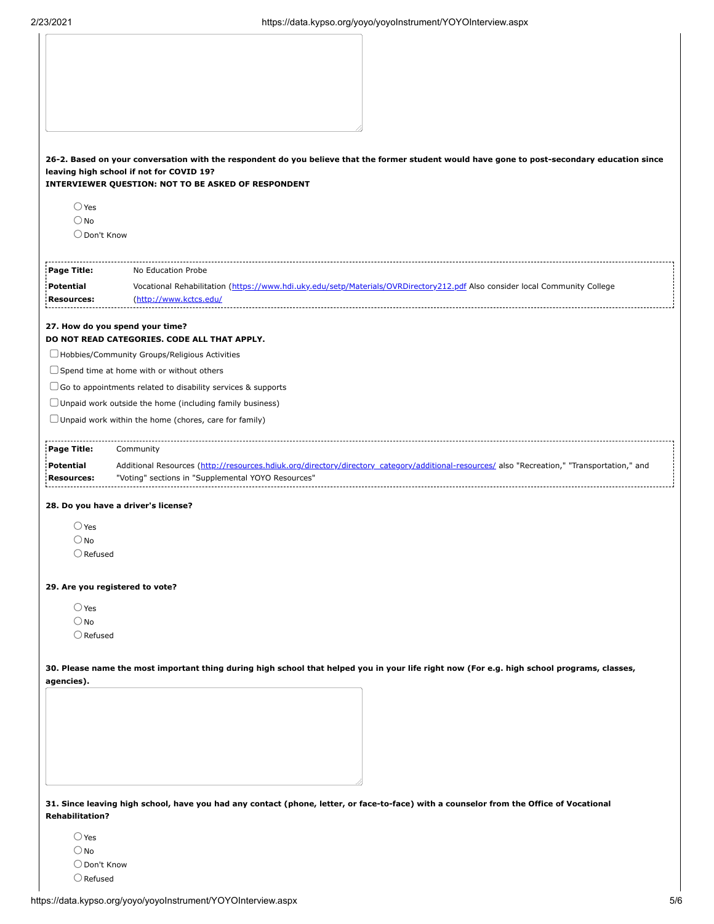|                        | 26-2. Based on your conversation with the respondent do you believe that the former student would have gone to post-secondary education since |
|------------------------|-----------------------------------------------------------------------------------------------------------------------------------------------|
|                        | leaving high school if not for COVID 19?                                                                                                      |
|                        | INTERVIEWER QUESTION: NOT TO BE ASKED OF RESPONDENT                                                                                           |
| $\bigcirc$ Yes         |                                                                                                                                               |
| $\bigcirc$ No          |                                                                                                                                               |
| O Don't Know           |                                                                                                                                               |
| Page Title:            | No Education Probe                                                                                                                            |
| <b>Potential</b>       | Vocational Rehabilitation (https://www.hdi.uky.edu/setp/Materials/OVRDirectory212.pdf Also consider local Community College                   |
| <b>Resources:</b>      | (http://www.kctcs.edu/                                                                                                                        |
|                        | 27. How do you spend your time?                                                                                                               |
|                        | DO NOT READ CATEGORIES. CODE ALL THAT APPLY.                                                                                                  |
|                        | $\Box$ Hobbies/Community Groups/Religious Activities                                                                                          |
|                        | $\Box$ Spend time at home with or without others                                                                                              |
|                        | $\Box$ Go to appointments related to disability services & supports                                                                           |
|                        | $\Box$ Unpaid work outside the home (including family business)                                                                               |
|                        | $\Box$ Unpaid work within the home (chores, care for family)                                                                                  |
|                        |                                                                                                                                               |
| Page Title:            | Community                                                                                                                                     |
| Potential              | Additional Resources (http://resources.hdiuk.org/directory/directory_category/additional-resources/ also "Recreation," "Transportation," and  |
| <b>Resources:</b>      | "Voting" sections in "Supplemental YOYO Resources"                                                                                            |
|                        | 28. Do you have a driver's license?                                                                                                           |
| $\bigcirc$ Yes         |                                                                                                                                               |
| $\bigcirc$ No          |                                                                                                                                               |
| $\bigcirc$ Refused     |                                                                                                                                               |
|                        |                                                                                                                                               |
|                        | 29. Are you registered to vote?                                                                                                               |
| $\bigcirc$ Yes         |                                                                                                                                               |
| $\bigcirc$ No          |                                                                                                                                               |
| $\bigcirc$ Refused     |                                                                                                                                               |
|                        |                                                                                                                                               |
|                        | 30. Please name the most important thing during high school that helped you in your life right now (For e.g. high school programs, classes,   |
| agencies).             |                                                                                                                                               |
|                        |                                                                                                                                               |
|                        |                                                                                                                                               |
|                        |                                                                                                                                               |
|                        |                                                                                                                                               |
|                        |                                                                                                                                               |
|                        |                                                                                                                                               |
|                        |                                                                                                                                               |
|                        | 31. Since leaving high school, have you had any contact (phone, letter, or face-to-face) with a counselor from the Office of Vocational       |
| <b>Rehabilitation?</b> |                                                                                                                                               |
|                        |                                                                                                                                               |
| $\bigcirc$ Yes         |                                                                                                                                               |

 $\bigcirc$  No  $\bigcirc$  Don't Know  $\bigcirc$ Refused